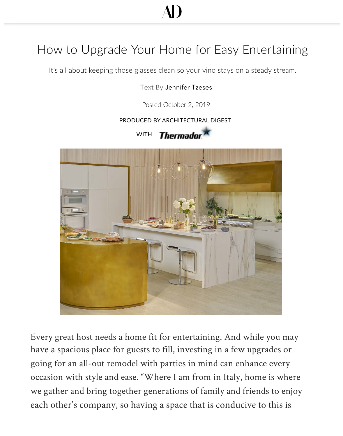# AD

## How to Upgrade Your Home for Easy Entertaining

It's all about keeping those glasses clean so your vino stays on a steady stream.

#### Text By Jennifer Tzeses

Posted October 2, 2019

#### PRODUCED BY ARCHITECTURAL DIGEST





Every great host needs a home fit for entertaining. And while you may have a spacious place for guests to fill, investing in a few upgrades or going for an all-out remodel with parties in mind can enhance every occasion with style and ease. "Where I am from in Italy, home is where we gather and bring together generations of family and friends to enjoy each other's company, so havi[ng a space that is](https://www.thermador.com/us/experience/glass-care-center) conducive to this is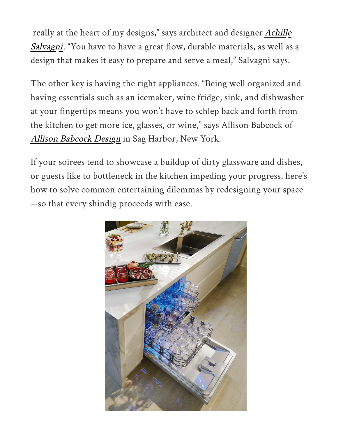really at the heart of my designs," says architect and designer Achille Salvagni. "You have to have a great flow, durable materials, as well as a design that makes it easy to prepare and serve a meal," Salvagni says.

The other key is ha[ving the right](https://www.achillesalvagni.com/) appliances. "Being well organized and having essentials such as an icemaker, wine fridge, sink, and dishwasher at your fingertips means you won't have to schlep back and forth from the kitchen to get more ice, glasses, or wine," says Allison Babcock of Allison Babcock Design in Sag Harbor, New York.

If your soirees tend to showcase a buildup of dirty gl[assware and dishes,](https://allisonbabcockdesign.com/)  or guests like to bottleneck in the kitchen impeding your progress, here's how to solve common entertaining dilemmas by redesigning your space —so that every shindig proceeds with ease.

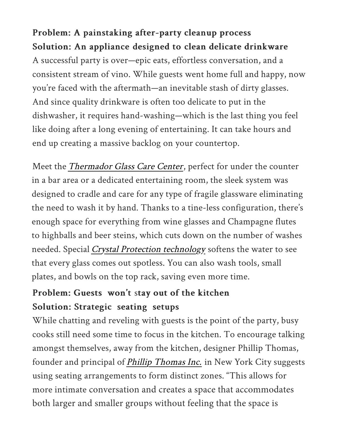#### Problem: A painstaking after-party cleanup process Solution: An appliance designed to clean delicate drinkware

A successful party is over—epic eats, effortless conversation, and a consistent stream of vino. While guests went home full and happy, now you're faced with the aftermath—an inevitable stash of dirty glasses. And since quality drinkware is often too delicate to put in the dishwasher, it requires hand-washing—which is the last thing you feel like doing after a long evening of entertaining. It can take hours and end up creating a massive backlog on your countertop.

Meet the *Thermador Glass Care Center*, perfect for under the counter in a bar area or a dedicated entertaining room, the sleek system was designed to cradle and care for any type of fragile glassware eliminating the need to wash it by hand. Thanks to a tine-less configuration, there's enough space for everything from wine glasses and Champagne flutes to highballs and beer steins, which cuts down on the number of washes needed. Special Crystal Protection technology softens the water to see that every glass comes out spotless. You can also wash tools, small plates, and bowls on the top rack, saving even more time.

#### Problem: Guests won't stay out of the kitchen Solution: Strategic seating setups

While [chatting and reveling with gue](https://www.thermador.com/us/experience/glass-care-center)sts is the point of the party, busy cooks still need some time to focus in the kitchen. To encourage talking amongst themselves, away from the kitchen, designer Phillip Thomas, founder and principal of Phillip Thomas Inc. in New York City suggests using seating arrangements to form distinct zones. "This allows for more intimate [conversation and creates a space that accommodate](https://www.thermador.com/us/products-list/dishwashers/custom-panel/DWHD771WPR#/Togglebox=-697829455/Togglebox=-960854172/)s both larger and smaller groups without feeling that the space is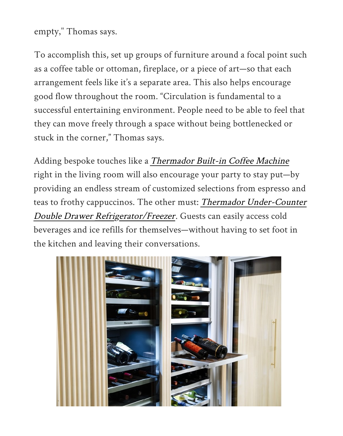empty," Thomas says.

To accomplish this, set up groups of furniture around a focal point such as a coff[ee table or ottoman,](https://www.phillipthomasinc.com/) fireplace, or a piece of art—so that each arrangement feels like it's a separate area. This also helps encourage good flow throughout the room. "Circulation is fundamental to a successful entertaining environment. People need to be able to feel that they can move freely through a space without being bottlenecked or stuck in the corner," Thomas says.

Adding bespoke touches like a Thermador Built-in Coffee Machine right in the living room will also encourage your party to stay put—by providing an endless stream of customized selections from espresso and teas to frothy cappuccinos. The other must: Thermador Under-Counter Double Drawer Refrigerator/Freezer. Guests can easily access cold beverages and ice refills for [themselves—without having to set fo](https://www.thermador.com/us/search?search=coffee%20maker)ot in the kitchen and leaving their conversations.

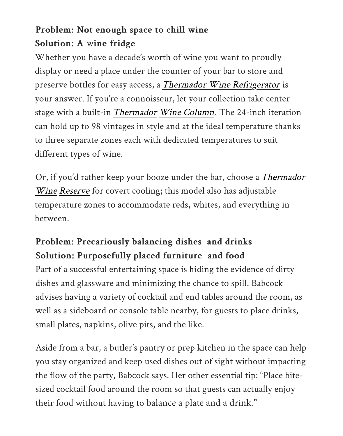## Problem: Not enough space to chill wine Solution: A wine fridge

Whether you have a decade's worth of wine you want to proudly display or need a place under the counter of your bar to store and preserve bottles for easy access, a Thermador Wine Refrigerator is your answer. If you're a connoisseur, let your collection take center stage with a built-in Thermador Wine Column. The 24-inch iteration can hold up to 98 vintages in style and at the ideal temperature thanks to three separate zones each [with dedicat](https://www.thermador.com/us/products/refrigeration/wine-refrigerators)ed temperatures to suit [different types](https://www.thermador.com/us/products-list/refrigeration/wine-refrigeration) of wine.

Or, if you'd rather keep your booze under the bar, choose a Thermador Wine Reserve for covert cooling; this model also has adjustable temperature zones to accommodate reds, whites, and everything in between.

## Problem: Precariously balancing dishes and drinks Solution: Purposefully placed furniture and food

Part of a successful entertaining space is hiding the evidence of dirty dishes and glassware and minimizing the chance to spill. Babcock advises having a variety of cocktail and end tables around the room, as well as a sideboard or console table nearby, for guests to place drinks, small plates, napkins, olive pits, and the like.

Aside from a bar, a butler's pantry or prep kitchen in the space can help you stay organized and keep used dishes out of sight without impacting the flow of the party, Babcock says. Her other essential tip: "Place bitesized cocktail food around the room so that guests can actually enjoy their food without having to balance a plate and a drink."